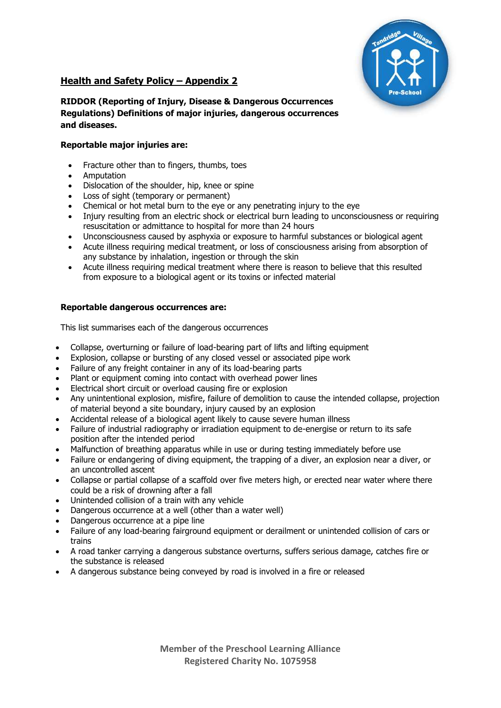

# **Health and Safety Policy – Appendix 2**

## **RIDDOR (Reporting of Injury, Disease & Dangerous Occurrences Regulations) Definitions of major injuries, dangerous occurrences and diseases.**

### **Reportable major injuries are:**

- Fracture other than to fingers, thumbs, toes
- **Amputation**
- Dislocation of the shoulder, hip, knee or spine
- Loss of sight (temporary or permanent)
- Chemical or hot metal burn to the eye or any penetrating injury to the eye
- Injury resulting from an electric shock or electrical burn leading to unconsciousness or requiring resuscitation or admittance to hospital for more than 24 hours
- Unconsciousness caused by asphyxia or exposure to harmful substances or biological agent
- Acute illness requiring medical treatment, or loss of consciousness arising from absorption of any substance by inhalation, ingestion or through the skin
- Acute illness requiring medical treatment where there is reason to believe that this resulted from exposure to a biological agent or its toxins or infected material

### **Reportable dangerous occurrences are:**

This list summarises each of the dangerous occurrences

- Collapse, overturning or failure of load-bearing part of lifts and lifting equipment
- Explosion, collapse or bursting of any closed vessel or associated pipe work
- Failure of any freight container in any of its load-bearing parts
- Plant or equipment coming into contact with overhead power lines
- Electrical short circuit or overload causing fire or explosion
- Any unintentional explosion, misfire, failure of demolition to cause the intended collapse, projection of material beyond a site boundary, injury caused by an explosion
- Accidental release of a biological agent likely to cause severe human illness
- Failure of industrial radiography or irradiation equipment to de-energise or return to its safe position after the intended period
- Malfunction of breathing apparatus while in use or during testing immediately before use
- Failure or endangering of diving equipment, the trapping of a diver, an explosion near a diver, or an uncontrolled ascent
- Collapse or partial collapse of a scaffold over five meters high, or erected near water where there could be a risk of drowning after a fall
- Unintended collision of a train with any vehicle
- Dangerous occurrence at a well (other than a water well)
- Dangerous occurrence at a pipe line
- Failure of any load-bearing fairground equipment or derailment or unintended collision of cars or trains
- A road tanker carrying a dangerous substance overturns, suffers serious damage, catches fire or the substance is released
- A dangerous substance being conveyed by road is involved in a fire or released